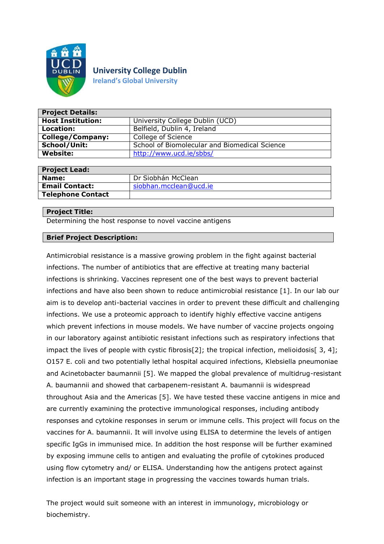

# **University College Dublin**

**Ireland's Global University**

| <b>Project Details:</b>  |                                               |
|--------------------------|-----------------------------------------------|
| <b>Host Institution:</b> | University College Dublin (UCD)               |
| Location:                | Belfield, Dublin 4, Ireland                   |
| <b>College/Company:</b>  | College of Science                            |
| School/Unit:             | School of Biomolecular and Biomedical Science |
| <b>Website:</b>          | http://www.ucd.ie/sbbs/                       |

| <b>Project Lead:</b>     |                        |
|--------------------------|------------------------|
| Name:                    | Dr Siobhán McClean     |
| <b>Email Contact:</b>    | siobhan.mcclean@ucd.ie |
| <b>Telephone Contact</b> |                        |
|                          |                        |

## **Project Title:**

Determining the host response to novel vaccine antigens

## **Brief Project Description:**

Antimicrobial resistance is a massive growing problem in the fight against bacterial infections. The number of antibiotics that are effective at treating many bacterial infections is shrinking. Vaccines represent one of the best ways to prevent bacterial infections and have also been shown to reduce antimicrobial resistance [1]. In our lab our aim is to develop anti-bacterial vaccines in order to prevent these difficult and challenging infections. We use a proteomic approach to identify highly effective vaccine antigens which prevent infections in mouse models. We have number of vaccine projects ongoing in our laboratory against antibiotic resistant infections such as respiratory infections that impact the lives of people with cystic fibrosis[2]; the tropical infection, melioidosis[3,4]; O157 E. coli and two potentially lethal hospital acquired infections, Klebsiella pneumoniae and Acinetobacter baumannii [5]. We mapped the global prevalence of multidrug-resistant A. baumannii and showed that carbapenem-resistant A. baumannii is widespread throughout Asia and the Americas [5]. We have tested these vaccine antigens in mice and are currently examining the protective immunological responses, including antibody responses and cytokine responses in serum or immune cells. This project will focus on the vaccines for A. baumannii. It will involve using ELISA to determine the levels of antigen specific IgGs in immunised mice. In addition the host response will be further examined by exposing immune cells to antigen and evaluating the profile of cytokines produced using flow cytometry and/ or ELISA. Understanding how the antigens protect against infection is an important stage in progressing the vaccines towards human trials.

The project would suit someone with an interest in immunology, microbiology or biochemistry.